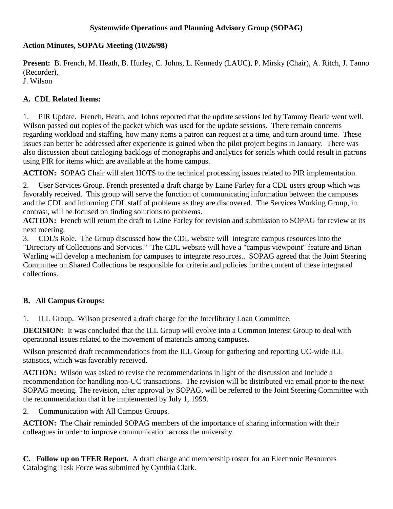## **Systemwide Operations and Planning Advisory Group (SOPAG)**

## **Action Minutes, SOPAG Meeting (10/26/98)**

**Present:** B. French, M. Heath, B. Hurley, C. Johns, L. Kennedy (LAUC), P. Mirsky (Chair), A. Ritch, J. Tanno (Recorder), J. Wilson

## **A. CDL Related Items:**

1. PIR Update. French, Heath, and Johns reported that the update sessions led by Tammy Dearie went well. Wilson passed out copies of the packet which was used for the update sessions. There remain concerns regarding workload and staffing, how many items a patron can request at a time, and turn around time. These issues can better be addressed after experience is gained when the pilot project begins in January. There was also discussion about cataloging backlogs of monographs and analytics for serials which could result in patrons using PIR for items which are available at the home campus.

**ACTION:** SOPAG Chair will alert HOTS to the technical processing issues related to PIR implementation.

2. User Services Group. French presented a draft charge by Laine Farley for a CDL users group which was favorably received. This group will serve the function of communicating information between the campuses and the CDL and informing CDL staff of problems as they are discovered. The Services Working Group, in contrast, will be focused on finding solutions to problems.

**ACTION:** French will return the draft to Laine Farley for revision and submission to SOPAG for review at its next meeting.

3. CDL's Role. The Group discussed how the CDL website will integrate campus resources into the "Directory of Collections and Services." The CDL website will have a "campus viewpoint" feature and Brian Warling will develop a mechanism for campuses to integrate resources.. SOPAG agreed that the Joint Steering Committee on Shared Collections be responsible for criteria and policies for the content of these integrated collections.

## **B. All Campus Groups:**

1. ILL Group. Wilson presented a draft charge for the Interlibrary Loan Committee.

**DECISION:** It was concluded that the ILL Group will evolve into a Common Interest Group to deal with operational issues related to the movement of materials among campuses.

Wilson presented draft recommendations from the ILL Group for gathering and reporting UC-wide ILL statistics, which was favorably received.

**ACTION:** Wilson was asked to revise the recommendations in light of the discussion and include a recommendation for handling non-UC transactions. The revision will be distributed via email prior to the next SOPAG meeting. The revision, after approval by SOPAG, will be referred to the Joint Steering Committee with the recommendation that it be implemented by July 1, 1999.

2. Communication with All Campus Groups.

**ACTION:** The Chair reminded SOPAG members of the importance of sharing information with their colleagues in order to improve communication across the university.

**C. Follow up on TFER Report.** A draft charge and membership roster for an Electronic Resources Cataloging Task Force was submitted by Cynthia Clark.